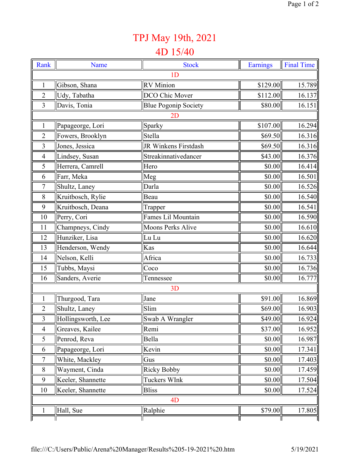## TPJ May 19th, 2021

## 4D 15/40

| Rank           | Name               | <b>Stock</b>                | <b>Earnings</b> | <b>Final Time</b> |  |  |  |
|----------------|--------------------|-----------------------------|-----------------|-------------------|--|--|--|
| 1 <sub>D</sub> |                    |                             |                 |                   |  |  |  |
| $\mathbf{1}$   | Gibson, Shana      | <b>RV</b> Minion            | \$129.00        | 15.789            |  |  |  |
| $\overline{2}$ | Udy, Tabatha       | DCO Chic Mover              | \$112.00        | 16.137            |  |  |  |
| $\overline{3}$ | Davis, Tonia       | <b>Blue Pogonip Society</b> | \$80.00         | 16.151            |  |  |  |
| 2D             |                    |                             |                 |                   |  |  |  |
| 1              | Papageorge, Lori   | Sparky                      | \$107.00        | 16.294            |  |  |  |
| $\overline{2}$ | Fowers, Brooklyn   | Stella                      | \$69.50         | 16.316            |  |  |  |
| 3              | Jones, Jessica     | JR Winkens Firstdash        | \$69.50         | 16.316            |  |  |  |
| $\overline{4}$ | Lindsey, Susan     | Streakinnativedancer        | \$43.00         | 16.376            |  |  |  |
| 5              | Herrera, Camrell   | Hero                        | \$0.00          | 16.414            |  |  |  |
| 6              | Farr, Meka         | Meg                         | \$0.00          | 16.501            |  |  |  |
| 7              | Shultz, Laney      | Darla                       | \$0.00          | 16.526            |  |  |  |
| 8              | Kruitbosch, Rylie  | Beau                        | \$0.00          | 16.540            |  |  |  |
| 9              | Kruitbosch, Deana  | Trapper                     | \$0.00          | 16.541            |  |  |  |
| 10             | Perry, Cori        | <b>Fames Lil Mountain</b>   | \$0.00          | 16.590            |  |  |  |
| 11             | Champneys, Cindy   | Moons Perks Alive           | \$0.00          | 16.610            |  |  |  |
| 12             | Hunziker, Lisa     | Lu Lu                       | \$0.00          | 16.620            |  |  |  |
| 13             | Henderson, Wendy   | Kas                         | \$0.00          | 16.644            |  |  |  |
| 14             | Nelson, Kelli      | Africa                      | \$0.00          | 16.733            |  |  |  |
| 15             | Tubbs, Maysi       | Coco                        | \$0.00          | 16.736            |  |  |  |
| 16             | Sanders, Averie    | Tennessee                   | \$0.00          | 16.777            |  |  |  |
| 3D             |                    |                             |                 |                   |  |  |  |
| $\mathbf{1}$   | Thurgood, Tara     | Jane                        | \$91.00         | 16.869            |  |  |  |
| $\overline{2}$ | Shultz, Laney      | Slim                        | \$69.00         | 16.903            |  |  |  |
| $\overline{3}$ | Hollingsworth, Lee | Swab A Wrangler             | \$49.00         | 16.924            |  |  |  |
| $\overline{4}$ | Greaves, Kailee    | Remi                        | \$37.00         | 16.952            |  |  |  |
| 5              | Penrod, Reva       | Bella                       | \$0.00          | 16.987            |  |  |  |
| 6              | Papageorge, Lori   | Kevin                       | \$0.00          | 17.341            |  |  |  |
| $\overline{7}$ | White, Mackley     | Gus                         | \$0.00          | 17.403            |  |  |  |
| 8              | Wayment, Cinda     | <b>Ricky Bobby</b>          | \$0.00          | 17.459            |  |  |  |
| 9              | Keeler, Shannette  | Tuckers WInk                | \$0.00          | 17.504            |  |  |  |
| 10             | Keeler, Shannette  | <b>Bliss</b>                | \$0.00          | 17.524            |  |  |  |
| 4 <sub>D</sub> |                    |                             |                 |                   |  |  |  |
|                | Hall, Sue          | Ralphie                     | \$79.00         | 17.805            |  |  |  |
|                |                    |                             | Ш               |                   |  |  |  |